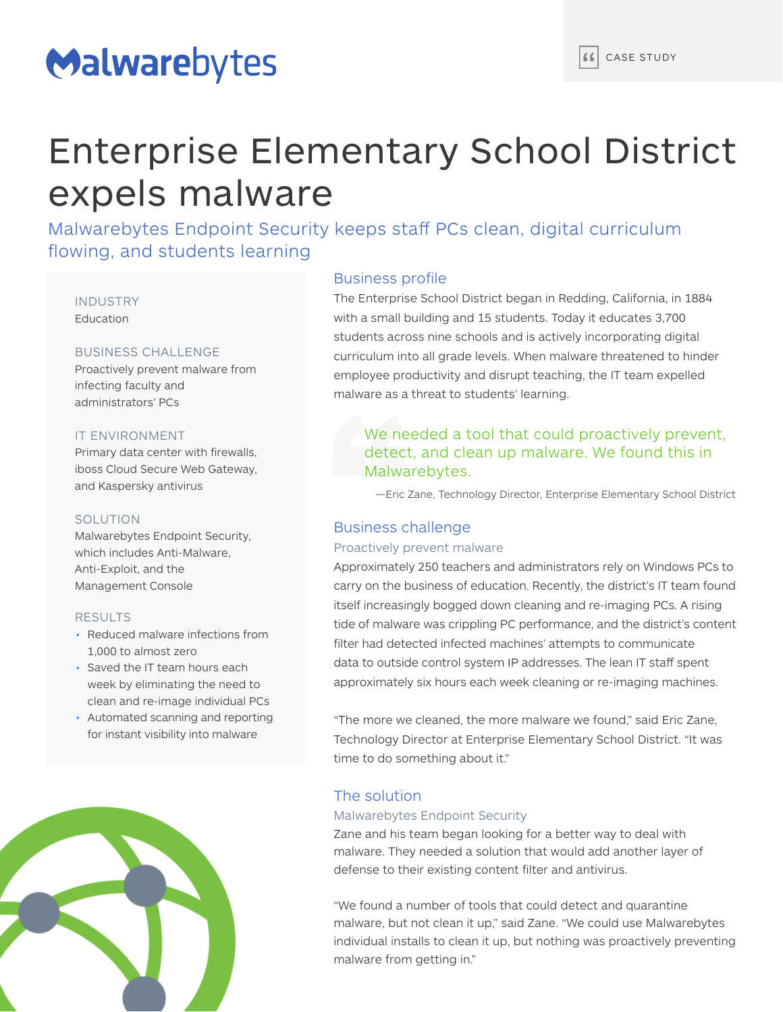# Malwarebytes

# Enterprise Elementary School District expels malware

Malwarebytes Endpoint Security keeps staff PCs clean, digital curriculum flowing, and students learning

INDUSTRY **Education** 

## BUSINESS CHALLENGE

Proactively prevent malware from infecting faculty and administrators' PCs

# IT ENVIRONMENT

Primary data center with firewalls, iboss Cloud Secure Web Gateway, and Kaspersky antivirus

# SOLUTION

Malwarebytes Endpoint Security, which includes Anti-Malware, Anti-Exploit, and the Management Console

### RESULTS

- Reduced malware infections from 1,000 to almost zero
- Saved the IT team hours each week by eliminating the need to clean and re-image individual PCs
- Automated scanning and reporting for instant visibility into malware



# Business profile

The Enterprise School District began in Redding, California, in 1884 with a small building and 15 students. Today it educates 3,700 students across nine schools and is actively incorporating digital curriculum into all grade levels. When malware threatened to hinder employee productivity and disrupt teaching, the IT team expelled malware as a threat to students' learning.

# We needed a tool that could proactively prevent, detect, and clean up malware. We found this in Malwarebytes.

—Eric Zane, Technology Director, Enterprise Elementary School District

# Business challenge

#### Proactively prevent malware

Approximately 250 teachers and administrators rely on Windows PCs to carry on the business of education. Recently, the district's IT team found itself increasingly bogged down cleaning and re-imaging PCs. A rising tide of malware was crippling PC performance, and the district's content filter had detected infected machines' attempts to communicate data to outside control system IP addresses. The lean IT staff spent approximately six hours each week cleaning or re-imaging machines.

"The more we cleaned, the more malware we found," said Eric Zane, Technology Director at Enterprise Elementary School District. "It was time to do something about it."

# The solution

#### Malwarebytes Endpoint Security

Zane and his team began looking for a better way to deal with malware. They needed a solution that would add another layer of defense to their existing content filter and antivirus.

"We found a number of tools that could detect and quarantine malware, but not clean it up," said Zane. "We could use Malwarebytes individual installs to clean it up, but nothing was proactively preventing malware from getting in."